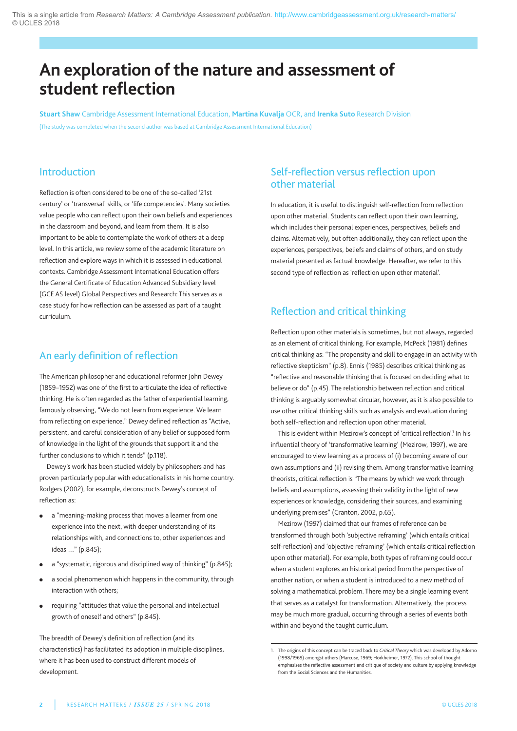# **An exploration ofthe nature and assessment of student reflection**

**Stuart Shaw** Cambridge assessment International Education, **Martina Kuvalja** OCR, and **Irenka Suto** Research Division (The study was completed when the second author was based at Cambridge assessment International Education)

### Introduction

Reflection is often considered to be one of the so-called '21st century' or 'transversal' skills, or 'life competencies'. Many societies value people who can reflect upon their own beliefs and experiences in the classroom and beyond, and learn from them. It is also important to be able to contemplate the work of others at a deep level. In this article, we review some of the academic literature on reflection and explore ways in which it is assessed in educational contexts. Cambridge assessment International Education offers the general Certificate of Education advanced Subsidiary level (GCE AS level) Global Perspectives and Research: This serves as a case study for how reflection can be assessed as part of a taught curriculum.

## An early definition of reflection

The American philosopher and educational reformer John Dewey (1859–1952) was one of the first to articulate the idea of reflective thinking. He is often regarded as the father of experiential learning, famously observing, "We do not learn from experience. We learn from reflecting on experience." Dewey defined reflection as "active, persistent, and careful consideration of any belief or supposed form of knowledge in the light of the grounds that support it and the further conclusions to which it tends" (p.118).

Dewey's work has been studied widely by philosophers and has proven particularly popular with educationalists in his home country. Rodgers (2002), for example, deconstructs Dewey's concept of reflection as:

- **●** a "meaning-making process that moves a learner from one experience into the next, with deeper understanding of its relationships with, and connections to, other experiences and ideas …" (p.845);
- a "systematic, rigorous and disciplined way of thinking" (p.845);
- **●** a social phenomenon which happens in the community, through interaction with others;
- **●** requiring "attitudes that value the personal and intellectual growth of oneself and others" (p.845).

The breadth of Dewey's definition of reflection (and its characteristics) has facilitated its adoption in multiple disciplines, where it has been used to construct different models of development.

## Self-reflection versus reflection upon other material

In education, it is useful to distinguish self-reflection from reflection upon other material. Students can reflect upon their own learning, which includes their personal experiences, perspectives, beliefs and claims. alternatively, but often additionally, they can reflect upon the experiences, perspectives, beliefs and claims of others, and on study material presented as factual knowledge. Hereafter, we refer to this second type of reflection as 'reflection upon other material'.

## Reflection and critical thinking

Reflection upon other materials is sometimes, but not always, regarded as an element of critical thinking. For example, Mcpeck (1981) defines critical thinking as: "The propensity and skill to engage in an activity with reflective skepticism" (p.8). Ennis (1985) describes critical thinking as "reflective and reasonable thinking that is focused on deciding what to believe or do" (p.45). The relationship between reflection and critical thinking is arguably somewhat circular, however, as it is also possible to use other critical thinking skills such as analysis and evaluation during both self-reflection and reflection upon other material.

This is evident within Mezirow's concept of 'critical reflection'.<sup>1</sup> In his influential theory of 'transformative learning' (Mezirow, 1997), we are encouraged to view learning as a process of (i) becoming aware of our own assumptions and (ii) revising them. Among transformative learning theorists, critical reflection is "The means by which we work through beliefs and assumptions, assessing their validity in the light of new experiences or knowledge, considering their sources, and examining underlying premises" (Cranton, 2002, p.65).

Mezirow (1997) claimed that our frames of reference can be transformed through both 'subjective reframing' (which entails critical self-reflection) and 'objective reframing' (which entails critical reflection upon other material). For example, both types of reframing could occur when a student explores an historical period from the perspective of another nation, or when a student is introduced to a new method of solving a mathematical problem. There may be a single learning event that serves as a catalyst for transformation. alternatively, the process may be much more gradual, occurring through a series of events both within and beyond the taught curriculum.

<sup>1.</sup> The origins of this concept can be traced back to *Critical Theory* which was developed by adorno (1998/1969) amongst others (Marcuse, 1969; Horkheimer, 1972). This school of thought emphasises the reflective assessment and critique of society and culture by applying knowledge from the Social Sciences and the Humanities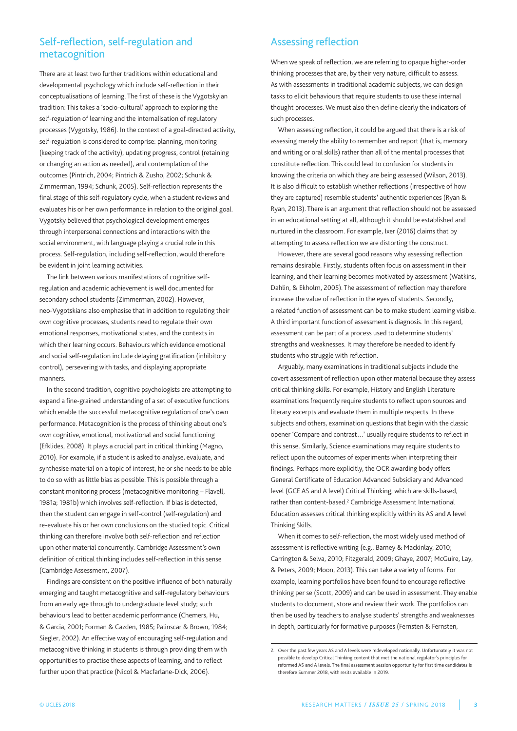### Self-reflection, self-regulation and metacognition

There are at least two further traditions within educational and developmental psychology which include self-reflection in their conceptualisations of learning. The first of these is the Vygotskyian tradition: This takes a 'socio-cultural' approach to exploring the self-regulation of learning and the internalisation of regulatory processes (Vygotsky, 1986). In the context of a goal-directed activity, self-regulation is considered to comprise: planning, monitoring (keeping track of the activity), updating progress, control (retaining or changing an action as needed), and contemplation of the outcomes (pintrich, 2004; pintrich & Zusho, 2002; Schunk & Zimmerman, 1994; Schunk, 2005). Self-reflection represents the final stage of this self-regulatory cycle, when a student reviews and evaluates his or her own performance in relation to the original goal. Vygotsky believed that psychological development emerges through interpersonal connections and interactions with the social environment, with language playing a crucial role in this process. Self-regulation, including self-reflection, would therefore be evident in joint learning activities.

The link between various manifestations of cognitive selfregulation and academic achievement is well documented for secondary school students (Zimmerman, 2002). However, neo-Vygotskians also emphasise that in addition to regulating their own cognitive processes, students need to regulate their own emotional responses, motivational states, and the contexts in which their learning occurs. Behaviours which evidence emotional and social self-regulation include delaying gratification (inhibitory control), persevering with tasks, and displaying appropriate manners.

In the second tradition, cognitive psychologists are attempting to expand a fine-grained understanding of a set of executive functions which enable the successful metacognitive regulation of one's own performance. Metacognition is the process of thinking about one's own cognitive, emotional, motivational and social functioning (Efklides, 2008). It plays a crucial part in critical thinking (Magno, 2010). For example, if a student is asked to analyse, evaluate, and synthesise material on a topic of interest, he or she needs to be able to do so with as little bias as possible. This is possible through a constant monitoring process (metacognitive monitoring – Flavell, 1981a; 1981b) which involves self-reflection. If bias is detected, then the student can engage in self-control (self-regulation) and re-evaluate his or her own conclusions on the studied topic. Critical thinking can therefore involve both self-reflection and reflection upon other material concurrently. Cambridge Assessment's own definition of critical thinking includes self-reflection in this sense (Cambridge assessment, 2007).

Findings are consistent on the positive influence of both naturally emerging and taught metacognitive and self-regulatory behaviours from an early age through to undergraduate level study; such behaviours lead to better academic performance (Chemers, Hu, & garcia, 2001; Forman & Cazden, 1985; palinscar & Brown, 1984; Siegler, 2002). An effective way of encouraging self-regulation and metacognitive thinking in students is through providing them with opportunities to practise these aspects of learning, and to reflect further upon that practice (Nicol & Macfarlane-Dick, 2006).

## Assessing reflection

When we speak of reflection, we are referring to opaque higher-order thinking processes that are, by their very nature, difficult to assess. As with assessments in traditional academic subjects, we can design tasks to elicit behaviours that require students to use these internal thought processes. We must also then define clearly the indicators of such processes.

When assessing reflection, it could be argued that there is a risk of assessing merely the ability to remember and report (that is, memory and writing or oral skills) rather than all of the mental processes that constitute reflection. This could lead to confusion for students in knowing the criteria on which they are being assessed (Wilson, 2013). It is also difficult to establish whether reflections (irrespective of how they are captured) resemble students' authentic experiences (Ryan & Ryan, 2013). There is an argument that reflection should not be assessed in an educational setting at all, although it should be established and nurtured in the classroom. For example, Ixer (2016) claims that by attempting to assess reflection we are distorting the construct.

However, there are several good reasons why assessing reflection remains desirable. Firstly, students often focus on assessment in their learning, and their learning becomes motivated by assessment (Watkins, Dahlin, & Ekholm, 2005). The assessment of reflection may therefore increase the value of reflection in the eyes of students. Secondly, a related function of assessment can be to make student learning visible. a third important function of assessment is diagnosis. In this regard, assessment can be part of a process used to determine students' strengths and weaknesses. It may therefore be needed to identify students who struggle with reflection.

arguably, many examinations in traditional subjects include the covert assessment of reflection upon other material because they assess critical thinking skills. For example, History and English literature examinations frequently require students to reflect upon sources and literary excerpts and evaluate them in multiple respects. In these subjects and others, examination questions that begin with the classic opener 'Compare and contrast…' usually require students to reflect in this sense. Similarly, Science examinations may require students to reflect upon the outcomes of experiments when interpreting their findings. perhaps more explicitly, the OCR awarding body offers General Certificate of Education Advanced Subsidiary and Advanced level (GCE AS and A level) Critical Thinking, which are skills-based, rather than content-based.<sup>2</sup> Cambridge Assessment International Education assesses critical thinking explicitly within its aS and a level Thinking Skills.

When it comes to self-reflection, the most widely used method of assessment is reflective writing (e.g., Barney & Mackinlay, 2010; Carrington & Selva, 2010; Fitzgerald, 2009; Ghaye, 2007; McGuire, Lay, & peters, 2009; Moon, 2013). This can take a variety of forms. For example, learning portfolios have been found to encourage reflective thinking per se (Scott, 2009) and can be used in assessment. They enable students to document, store and review their work. The portfolios can then be used by teachers to analyse students' strengths and weaknesses in depth, particularly for formative purposes (Fernsten & Fernsten,

<sup>2.</sup> Over the past few years AS and A levels were redeveloped nationally. Unfortunately it was not possible to develop Critical Thinking content that met the national regulator's principles for reformed aS and a levels. The final assessment session opportunity for first time candidates is therefore Summer 2018, with resits available in 2019.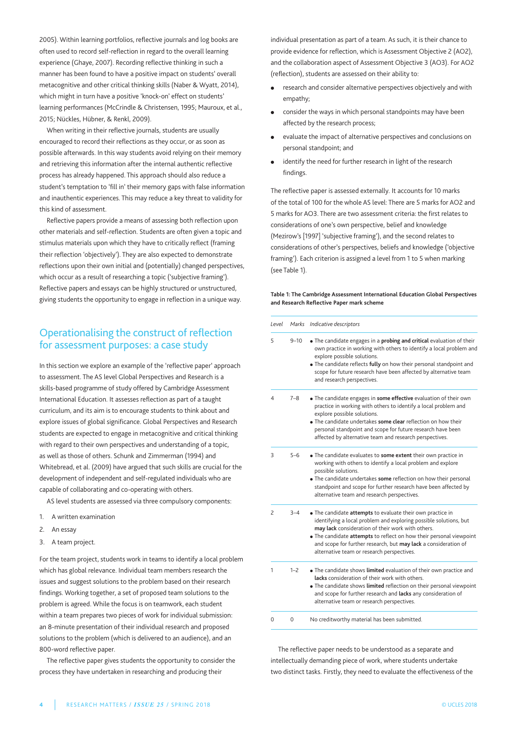2005). Within learning portfolios, reflective journals and log books are often used to record self-reflection in regard to the overall learning experience (Ghaye, 2007). Recording reflective thinking in such a manner has been found to have a positive impact on students' overall metacognitive and other critical thinking skills (Naber & Wyatt, 2014), which might in turn have a positive 'knock-on' effect on students' learning performances (McCrindle & Christensen, 1995; Mauroux, et al., 2015; nückles, Hübner, & Renkl, 2009).

When writing in their reflective journals, students are usually encouraged to record their reflections as they occur, or as soon as possible afterwards. In this way students avoid relying on their memory and retrieving this information after the internal authentic reflective process has already happened. This approach should also reduce a student's temptation to 'fill in' their memory gaps with false information and inauthentic experiences. This may reduce a key threat to validity for this kind of assessment.

Reflective papers provide a means of assessing both reflection upon other materials and self-reflection. Students are often given a topic and stimulus materials upon which they have to critically reflect (framing their reflection 'objectively'). They are also expected to demonstrate reflections upon their own initial and (potentially) changed perspectives, which occur as a result of researching a topic ('subjective framing'). Reflective papers and essays can be highly structured or unstructured, giving students the opportunity to engage in reflection in a unique way.

## Operationalising the construct of reflection for assessment purposes: a case study

In this section we explore an example of the 'reflective paper' approach to assessment. The AS level Global Perspectives and Research is a skills-based programme of study offered by Cambridge Assessment International Education. It assesses reflection as part of a taught curriculum, and its aim is to encourage students to think about and explore issues of global significance. Global Perspectives and Research students are expected to engage in metacognitive and critical thinking with regard to their own perspectives and understanding of a topic, as well as those of others. Schunk and Zimmerman (1994) and Whitebread, et al. (2009) have argued that such skills are crucial for the development of independent and self-regulated individuals who are capable of collaborating and co-operating with others.

AS level students are assessed via three compulsory components:

- 1. a written examination
- 2. An essay
- 3. A team project.

For the team project, students work in teams to identify a local problem which has global relevance. Individual team members research the issues and suggest solutions to the problem based on their research findings. Working together, a set of proposed team solutions to the problem is agreed. While the focus is on teamwork, each student within a team prepares two pieces of work for individual submission: an 8-minute presentation of their individual research and proposed solutions to the problem (which is delivered to an audience), and an 800-word reflective paper.

The reflective paper gives students the opportunity to consider the process they have undertaken in researching and producing their

individual presentation as part of a team. As such, it is their chance to provide evidence for reflection, which is Assessment Objective 2 (AO2), and the collaboration aspect of Assessment Objective 3 (AO3). For AO2 (reflection), students are assessed on their ability to:

- research and consider alternative perspectives objectively and with empathy;
- **●** consider the ways in which personal standpoints may have been affected by the research process;
- evaluate the impact of alternative perspectives and conclusions on personal standpoint; and
- **●** identify the need for further research in light of the research findings.

The reflective paper is assessed externally. It accounts for 10 marks of the total of 100 for the whole AS level: There are 5 marks for AO2 and 5 marks for AO3. There are two assessment criteria: the first relates to considerations of one's own perspective, belief and knowledge (Mezirow's [1997] 'subjective framing'), and the second relates to considerations of other's perspectives, beliefs and knowledge ('objective framing'). Each criterion is assigned a level from 1 to 5 when marking (see Table 1).

#### **Table 1: The Cambridge Assessment International Education Global Perspectives and Research Reflective Paper mark scheme**

| Level          | Marks    | Indicative descriptors                                                                                                                                                                                                                                                                                                                                                       |
|----------------|----------|------------------------------------------------------------------------------------------------------------------------------------------------------------------------------------------------------------------------------------------------------------------------------------------------------------------------------------------------------------------------------|
| 5              | $9 - 10$ | • The candidate engages in a probing and critical evaluation of their<br>own practice in working with others to identify a local problem and<br>explore possible solutions.<br>. The candidate reflects fully on how their personal standpoint and<br>scope for future research have been affected by alternative team<br>and research perspectives.                         |
| $\overline{4}$ | $7 - 8$  | • The candidate engages in some effective evaluation of their own<br>practice in working with others to identify a local problem and<br>explore possible solutions.<br>• The candidate undertakes some clear reflection on how their<br>personal standpoint and scope for future research have been<br>affected by alternative team and research perspectives.               |
| 3              | $5 - 6$  | • The candidate evaluates to some extent their own practice in<br>working with others to identify a local problem and explore<br>possible solutions.<br>. The candidate undertakes some reflection on how their personal<br>standpoint and scope for further research have been affected by<br>alternative team and research perspectives.                                   |
| 2              | $3 - 4$  | • The candidate attempts to evaluate their own practice in<br>identifying a local problem and exploring possible solutions, but<br>may lack consideration of their work with others.<br>• The candidate attempts to reflect on how their personal viewpoint<br>and scope for further research, but may lack a consideration of<br>alternative team or research perspectives. |
| 1              | $1 - 2$  | . The candidate shows limited evaluation of their own practice and<br>lacks consideration of their work with others.<br>. The candidate shows limited reflection on their personal viewpoint<br>and scope for further research and lacks any consideration of<br>alternative team or research perspectives.                                                                  |
| 0              | 0        | No creditworthy material has been submitted.                                                                                                                                                                                                                                                                                                                                 |

The reflective paper needs to be understood as a separate and intellectually demanding piece of work, where students undertake two distinct tasks. Firstly, they need to evaluate the effectiveness of the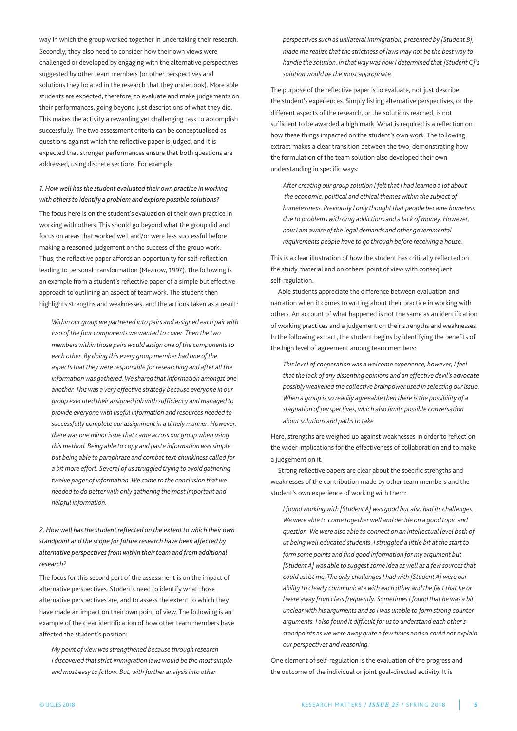way in which the group worked together in undertaking their research. Secondly, they also need to consider how their own views were challenged or developed by engaging with the alternative perspectives suggested by other team members (or other perspectives and solutions they located in the research that they undertook). More able students are expected, therefore, to evaluate and make judgements on their performances, going beyond just descriptions of what they did. This makes the activity a rewarding yet challenging task to accomplish successfully. The two assessment criteria can be conceptualised as questions against which the reflective paper is judged, and it is expected that stronger performances ensure that both questions are addressed, using discrete sections. For example:

### *1. Howwell hasthe student evaluated their own practice inworking with othersto identify a problem and explore possible solutions?*

The focus here is on the student's evaluation of their own practice in working with others. This should go beyond what the group did and focus on areas that worked well and/or were less successful before making a reasoned judgement on the success of the group work. Thus, the reflective paper affords an opportunity for self-reflection leading to personal transformation (Mezirow, 1997). The following is an example from a student's reflective paper of a simple but effective approach to outlining an aspect of teamwork. The student then highlights strengths and weaknesses, and the actions taken as a result:

*Within our groupwe partnered into pairs and assigned each pairwith two of the four componentswewanted to cover. Then the two memberswithin those pairswould assign one of the componentsto each other. By doing this every group member had one of the aspectsthat theywere responsible for researching and after all the informationwas gathered. We shared that information amongst one another. Thiswas a very effective strategy because everyone in our group executed their assigned jobwith sufficiency and managed to provide everyonewith useful information and resources needed to successfully complete our assignment in a timely manner. However, therewas one minor issue that came across our groupwhen using this method. Being able to copy and paste informationwas simple but being able to paraphrase and combat text chunkiness called for a bit more effort. Several of us struggled trying to avoid gathering twelve pages of information. We came to the conclusion thatwe needed to do betterwith only gathering the most important and helpful information.*

### *2. Howwell hasthe student reflected on the extenttowhich their own standpoint and the scope for future research have been affected by alternative perspectivesfrom within theirteam and from additional research?*

The focus for this second part of the assessment is on the impact of alternative perspectives. Students need to identify what those alternative perspectives are, and to assess the extent to which they have made an impact on their own point of view. The following is an example of the clear identification of how other team members have affected the student's position:

*My point of viewwas strengthened because through research I discovered that strict immigration lawswould be the most simple and most easy to follow. But,with further analysis into other*

*perspectives such as unilateral immigration, presented by [Student B], made me realize that the strictness of laws may not be the bestway to handle the solution. In that* way was *how I* determined *that*  $[Student C]$ 's *solutionwould be the most appropriate.*

The purpose of the reflective paper is to evaluate, not just describe, the student's experiences. Simply listing alternative perspectives, or the different aspects of the research, or the solutions reached, is not sufficient to be awarded a high mark. What is required is a reflection on how these things impacted on the student's own work. The following extract makes a clear transition between the two, demonstrating how the formulation of the team solution also developed their own understanding in specific ways:

*After creating our group solution I felt that I had learned a lot about the economic, political and ethical themeswithin the subject of homelessness. Previously I only thought that people became homeless due to problemswith drug addictions and a lack of money. However, now I am aware of the legal demands and other governmental requirements people have to go through before receiving a house.*

This is a clear illustration of how the student has critically reflected on the study material and on others' point of view with consequent self-regulation.

able students appreciate the difference between evaluation and narration when it comes to writing about their practice in working with others. An account of what happened is not the same as an identification of working practices and a judgement on their strengths and weaknesses. In the following extract, the student begins by identifying the benefits of the high level of agreement among team members:

*This level of cooperationwas awelcome experience, however, I feel that the lack of any dissenting opinions and an effective devil's advocate possiblyweakened the collective brainpower used in selecting our issue. When a group is so readily agreeable then there isthe possibility of a stagnation of perspectives,which also limits possible conversation*  $a$ *bout solutions* and *paths to take.* 

Here, strengths are weighed up against weaknesses in order to reflect on the wider implications for the effectiveness of collaboration and to make a judgement on it.

Strong reflective papers are clear about the specific strengths and weaknesses of the contribution made by other team members and the student's own experience of working with them:

*I foundworkingwith [Student A]was good but also had its challenges. Wewere able to come togetherwell and decide on a good topic and question. Wewere also able to connect on an intellectual level both of us beingwell educated students. I struggled a little bit at the start to form some points and find good information for my argument but [Student A]was able to suggest some idea aswell as a few sourcesthat could assist me. The only challenges I hadwith [Student A]were our ability to clearly communicatewith each other and the fact that he or Iwere away from class frequently. Sometimes I found that hewas a bit unclearwith his arguments and so Iwas unable to form strong counter arguments. I also found it difficult for usto understand each other's standpoints aswewere away quite a fewtimes and so could not explain our perspectives and reasoning.*

One element of self-regulation is the evaluation of the progress and the outcome of the individual or joint goal-directed activity. It is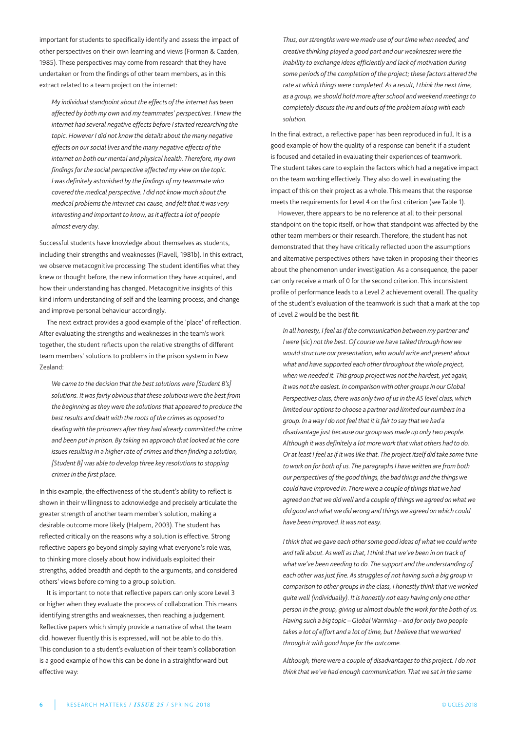important for students to specifically identify and assess the impact of other perspectives on their own learning and views (Forman & Cazden, 1985). These perspectives may come from research that they have undertaken or from the findings of other team members, as in this extract related to a team project on the internet:

*My individual standpoint about the effects of the internet has been affected by both my own and my teammates' perspectives. I knewthe internet had several negative effects before I started researching the topic. However I did not knowthe details about the many negative effects on our social lives and the many negative effects of the internet on both our mental and physical health. Therefore, my own findings for the social perspective affected my viewon the topic. Iwas definitely astonished by the findings of my teammatewho covered the medical perspective. I did not know much about the medical problemsthe internet can cause, and felt that itwas very interesting and important to know, as it affects a lot of people almost every day.*

Successful students have knowledge about themselves as students, including their strengths and weaknesses (Flavell, 1981b). In this extract, we observe metacognitive processing: The student identifies what they knew or thought before, the new information they have acquired, and how their understanding has changed. Metacognitive insights of this kind inform understanding of self and the learning process, and change and improve personal behaviour accordingly.

The next extract provides a good example of the 'place' of reflection. after evaluating the strengths and weaknesses in the team's work together, the student reflects upon the relative strengths of different team members' solutions to problems in the prison system in New Zealand:

*We came to the decision that the best solutionswere [Student B's] solutions. Itwas fairly obviousthat these solutionswere the best from the beginning astheywere the solutionsthat appeared to produce the best results and dealtwith the roots of the crimes as opposed to dealingwith the prisoners after they had already committed the crime and been put in prison. By taking an approach that looked at the core issues resulting in a higher rate of crimes and then finding a solution, [Student B]was able to develop three key resolutionsto stopping crimes in the first place.*

In this example, the effectiveness of the student's ability to reflect is shown in their willingness to acknowledge and precisely articulate the greater strength of another team member's solution, making a desirable outcome more likely (Halpern, 2003). The student has reflected critically on the reasons why a solution is effective. Strong reflective papers go beyond simply saying what everyone's role was, to thinking more closely about how individuals exploited their strengths, added breadth and depth to the arguments, and considered others' views before coming to a group solution.

It is important to note that reflective papers can only score level 3 or higher when they evaluate the process of collaboration. This means identifying strengths and weaknesses, then reaching a judgement. Reflective papers which simply provide a narrative of what the team did, however fluently this is expressed, will not be able to do this. This conclusion to a student's evaluation of their team's collaboration is a good example of how this can be done in a straightforward but effective way:

*Thus, our strengthswerewe made use of our timewhen needed, and creative thinking played a good part and ourweaknesseswere the inability to exchange ideas efficiently and lack of motivation during some periods of the completion of the project; these factors altered the rate atwhich thingswere completed. As a result, I think the next time, as a group,we should hold more after school andweekend meetingsto completely discussthe ins and outs of the problem alongwith each solution.*

In the final extract, a reflective paper has been reproduced in full. It is a good example of how the quality of a response can benefit if a student is focused and detailed in evaluating their experiences of teamwork. The student takes care to explain the factors which had a negative impact on the team working effectively. They also do well in evaluating the impact of this on their project as a whole. This means that the response meets the requirements for level 4 on the first criterion (see Table 1).

However, there appears to be no reference at all to their personal standpoint on the topic itself, or how that standpoint was affected by the other team members or their research. Therefore, the student has not demonstrated that they have critically reflected upon the assumptions and alternative perspectives others have taken in proposing their theories about the phenomenon under investigation. As a consequence, the paper can only receive a mark of 0 for the second criterion. This inconsistent profile of performance leads to a level 2 achievement overall. The quality of the student's evaluation of the teamwork is such that a mark at the top of level 2 would be the best fit.

*In all honesty, I feel asifthe communication between my partner and I* were (sic) not the best. Of course we have talked through how we *would structure our presentation,whowouldwrite and present about what and have supported each otherthroughoutthewhole project, whenwe needed it. This group projectwas notthe hardest, yet again, it* was not the easiest. In comparison with other groups in our Global *Perspectives class,therewas only two of usin the AS level class,which limited our optionsto choose a partner and limited our numbersin a group. In away I do not feelthat it isfairto say thatwe had a disadvantage just because our groupwas made up only two people. Although itwas definitely a lot morework thatwhat others had to do. Or at least I feel asif itwaslike that. The project itself did take some time towork on for both of us. The paragraphsI havewritten are from both our perspectives ofthe good things,the bad things and the thingswe could have improved in. Therewere a couple ofthingsthatwe had agreed on thatwe didwell and a couple ofthingswe agreed onwhatwe did good andwhatwe didwrong and thingswe agreed onwhich could have been improved. Itwas not easy.*

*I think thatwe gave each other some good ideas ofwhatwe couldwrite and talk about. Aswell asthat, I think thatwe've been in on track of what we've been needing to do. The support and the understanding of each otherwas just fine. As struggles of not having such a big group in comparison to other groups in the class, I honestly think thatweworked quitewell (individually). It is honestly not easy having only one other person in the group, giving us almost double thework for the both of us. Having such a big topic – Global Warming – and for only two people takes a lot of effort and a lot of time, but I believe thatweworked through itwith good hope for the outcome.*

*Although, therewere a couple of disadvantagesto this project. I do not think thatwe've had enough communication. Thatwe sat in the same*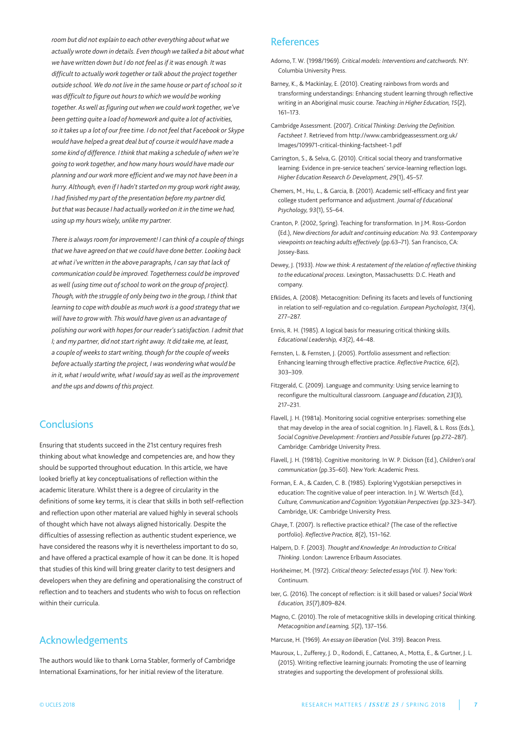*room but did not explain to each other everything aboutwhatwe actuallywrote down in details. Even thoughwe talked a bit aboutwhat we havewritten down but I do not feel as if itwas enough. Itwas difficult to actuallywork together or talk about the project together outside school. We do not live in the same house or part of school so it was difficult to figure out hourstowhichwewould beworking together. Aswell as figuring outwhenwe couldwork together,we've been getting quite a load of homework and quite a lot of activities, so it takes up a lot of our free time. I do not feel that Facebook or Skype would have helped a great deal but of course itwould have made a some kind of difference. I think that making a schedule ofwhenwe're going towork together, and how many hourswould have made our planning and ourwork more efficient andwe may not have been in a hurry. Although, even if I hadn't started on my groupwork right away, I had finished my part of the presentation before my partner did, but thatwas because I had actuallyworked on it in the timewe had, using up my hourswisely, unlike my partner.*

*There is always room for improvement! I can think of a couple of things thatwe have agreed on thatwe could have done better. Looking back atwhat i'vewritten in the above paragraphs, I can say that lack of communication could be improved. Togetherness could be improved aswell (using time out of school towork on the group of project). Though,with the struggle of only being two in the group, I think that learning to copewith double as muchwork is a good strategy thatwe will have to growwith. Thiswould have given us an advantage of polishing ourworkwith hopes for our reader's satisfaction. I admit that I; and my partner, did not start right away. It did take me, at least, a couple ofweeksto startwriting, though for the couple ofweeks before actually starting the project, Iwaswonderingwhatwould be in it,what Iwouldwrite,what Iwould say aswell asthe improvement and the ups and downs of this project.*

### **Conclusions**

Ensuring that students succeed in the 21st century requires fresh thinking about what knowledge and competencies are, and how they should be supported throughout education. In this article, we have looked briefly at key conceptualisations of reflection within the academic literature. Whilst there is a degree of circularity in the definitions of some key terms, it is clear that skills in both self-reflection and reflection upon other material are valued highly in several schools of thought which have not always aligned historically. Despite the difficulties of assessing reflection as authentic student experience, we have considered the reasons why it is nevertheless important to do so, and have offered a practical example of how it can be done. It is hoped that studies of this kind will bring greater clarity to test designers and developers when they are defining and operationalising the construct of reflection and to teachers and students who wish to focus on reflection within their curricula.

# Acknowledgements

The authors would like to thank lorna Stabler, formerly of Cambridge International Examinations, for her initial review of the literature.

### **References**

- adorno, T. W. (1998/1969). *Critical models: Interventions and catchwords*. nY: Columbia University Press.
- Barney, K., & Mackinlay, E. (2010). Creating rainbows from words and transforming understandings: Enhancing student learning through reflective writing in an aboriginal music course. *Teaching in Higher Education, 15*(2), 161–173.
- Cambridge assessment. (2007). *Critical Thinking: Deriving the Definition. Factsheet 1*. Retrieved from http://www.cambridgeassessment.org.uk/ Images/109971-critical-thinking-factsheet-1.pdf
- Carrington, S., & Selva, G. (2010). Critical social theory and transformative learning: Evidence in pre-service teachers' service-learning reflection logs. *Higher Education Research & Development, 29*(1), 45–57.
- Chemers, M., Hu, L., & Garcia, B. (2001). Academic self-efficacy and first year college student performance and adjustment. *Journal of Educational Psychology, 93*(1), 55–64.
- Cranton, P. (2002, Spring). Teaching for transformation. In J.M. Ross-Gordon (Ed.), *Newdirections for adult and continuing education: No. 93. Contemporary viewpoints on teaching adults effectively* (pp.63–71). San Francisco, Ca: Jossey-Bass.
- Dewey, J. (1933). *Howwe think: A restatement of the relation of reflective thinking to the educational process*. lexington, Massachusetts: D.C. Heath and company.
- Efklides, a. (2008). Metacognition: Defining its facets and levels of functioning in relation to self-regulation and co-regulation. *European Psychologist, 13*(4), 277–287.
- Ennis, R. H. (1985). A logical basis for measuring critical thinking skills. *Educational Leadership, 43*(2), 44–48.
- Fernsten, l. & Fernsten, J. (2005). portfolio assessment and reflection: Enhancing learning through effective practice. *Reflective Practice, 6*(2), 303–309.
- Fitzgerald, C. (2009). Language and community: Using service learning to reconfigure the multicultural classroom. *Language and Education, 23*(3), 217–231.
- Flavell, J. H. (1981a). Monitoring social cognitive enterprises: something else that may develop in the area of social cognition. In J. Flavell, & l. Ross (Eds.), *Social Cognitive Development: Frontiers and Possible Futures* (pp.272–287). Cambridge: Cambridge University Press.
- Flavell, J. H. (1981b). Cognitive monitoring. In W. p. Dickson (Ed.), *Children's oral* communication (pp.35-60). New York: Academic Press.
- Forman, E. a., & Cazden, C. B. (1985). Exploring Vygotskian persepctives in education: The cognitive value of peer interaction. In J. W. Wertsch (Ed.), *Culture, Communication and Cognition: Vygotskian Perspectives* (pp.323–347). Cambridge, UK: Cambridge University Press.
- Ghaye, T. (2007). Is reflective practice ethical? (The case of the reflective portfolio). *Reflective Practice, 8*(2), 151–162.
- Halpern, D. F. (2003). *Thought and Knowledge: An Introduction to Critical Thinking*. london: lawrence Erlbaum associates.
- Horkheimer, M. (1972). *Critical theory: Selected essays (Vol. 1)*. new York: Continuum.
- Ixer, g. (2016). The concept of reflection: is it skill based or values? *Social Work Education, 35*(7),809–824.
- Magno, C. (2010). The role of metacognitive skills in developing critical thinking. *Metacognition and Learning, 5*(2), 137–156.
- Marcuse, H. (1969). *An essay on liberation* (Vol. 319). Beacon press.
- Mauroux, L., Zufferey, J. D., Rodondi, E., Cattaneo, A., Motta, E., & Gurtner, J. L. (2015). Writing reflective learning journals: promoting the use of learning strategies and supporting the development of professional skills.